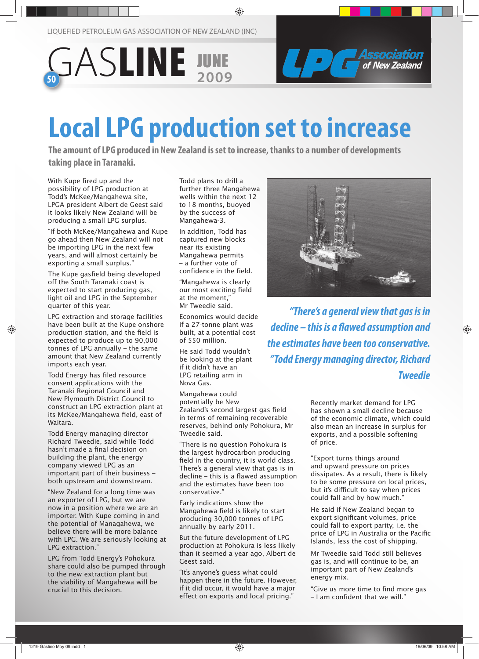LIQUEFIED PETROLEUM GAS ASSOCIATION OF NEW ZEALAND (INC)





# **Local LPG production set to increase**

**The amount of LPG produced in New Zealand is set to increase, thanks to a number of developments taking place in Taranaki.** 

With Kupe fired up and the possibility of LPG production at Todd's McKee/Mangahewa site, LPGA president Albert de Geest said it looks likely New Zealand will be producing a small LPG surplus.

"If both McKee/Mangahewa and Kupe go ahead then New Zealand will not be importing LPG in the next few years, and will almost certainly be exporting a small surplus."

The Kupe gasfield being developed off the South Taranaki coast is expected to start producing gas, light oil and LPG in the September quarter of this year.

LPG extraction and storage facilities have been built at the Kupe onshore production station, and the field is expected to produce up to 90,000 tonnes of LPG annually – the same amount that New Zealand currently imports each year.

Todd Energy has filed resource consent applications with the Taranaki Regional Council and New Plymouth District Council to construct an LPG extraction plant at its McKee/Mangahewa field, east of Waitara.

Todd Energy managing director Richard Tweedie, said while Todd hasn't made a final decision on building the plant, the energy company viewed LPG as an important part of their business – both upstream and downstream.

"New Zealand for a long time was an exporter of LPG, but we are now in a position where we are an importer. With Kupe coming in and the potential of Managahewa, we believe there will be more balance with LPG. We are seriously looking at LPG extraction."

LPG from Todd Energy's Pohokura share could also be pumped through to the new extraction plant but the viability of Mangahewa will be crucial to this decision.

Todd plans to drill a further three Mangahewa wells within the next 12 to 18 months, buoyed by the success of Mangahewa-3.

In addition, Todd has captured new blocks near its existing Mangahewa permits – a further vote of confidence in the field.

"Mangahewa is clearly our most exciting field at the moment," Mr Tweedie said.

Economics would decide if a 27-tonne plant was built, at a potential cost of \$50 million.

He said Todd wouldn't be looking at the plant if it didn't have an LPG retailing arm in Nova Gas.

Mangahewa could potentially be New Zealand's second largest gas field in terms of remaining recoverable reserves, behind only Pohokura, Mr Tweedie said.

"There is no question Pohokura is the largest hydrocarbon producing field in the country, it is world class. There's a general view that gas is in decline – this is a flawed assumption and the estimates have been too conservative."

Early indications show the Mangahewa field is likely to start producing 30,000 tonnes of LPG annually by early 2011.

But the future development of LPG production at Pohokura is less likely than it seemed a year ago, Albert de Geest said.

"It's anyone's guess what could happen there in the future. However, if it did occur, it would have a major effect on exports and local pricing."



*"There's a general view that gas is in decline – this is a flawed assumption and the estimates have been too conservative. "Todd Energy managing director, Richard Tweedie*

> Recently market demand for LPG has shown a small decline because of the economic climate, which could also mean an increase in surplus for exports, and a possible softening of price.

"Export turns things around and upward pressure on prices dissipates. As a result, there is likely to be some pressure on local prices, but it's difficult to say when prices could fall and by how much."

He said if New Zealand began to export significant volumes, price could fall to export parity, i.e. the price of LPG in Australia or the Pacific Islands, less the cost of shipping.

Mr Tweedie said Todd still believes gas is, and will continue to be, an important part of New Zealand's energy mix.

"Give us more time to find more gas – I am confident that we will."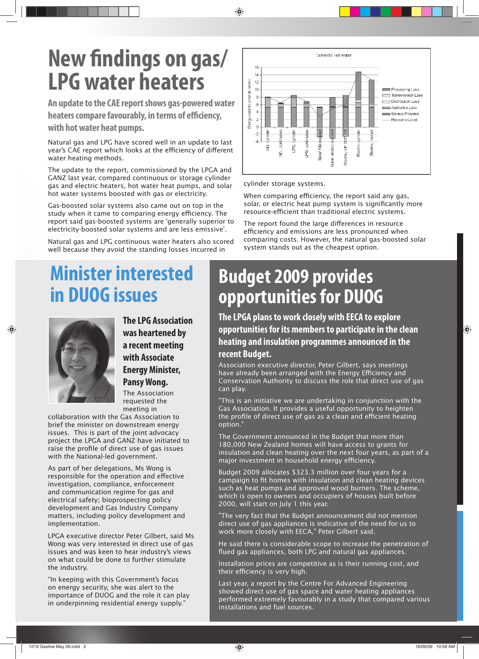# **New findings on gas/ LPG water heaters**

**An update to the CAE report shows gas-powered water heaters compare favourably, in terms of efficiency,** 

**with hot water heat pumps.** 

Natural gas and LPG have scored well in an update to last year's CAE report which looks at the efficiency of different water heating methods.

The update to the report, commissioned by the LPGA and GANZ last year, compared continuous or storage cylinder gas and electric heaters, hot water heat pumps, and solar hot water systems boosted with gas or electricity.

Gas-boosted solar systems also came out on top in the study when it came to comparing energy efficiency. The report said gas-boosted systems are 'generally superior to electricity-boosted solar systems and are less emissive'.

Natural gas and LPG continuous water heaters also scored well because they avoid the standing losses incurred in

### **Minister interested in DUOG issues**



**The LPG Association was heartened by a recent meeting with Associate Energy Minister, Pansy Wong.**

The Association requested the meeting in

collaboration with the Gas Association to brief the minister on downstream energy issues. This is part of the joint advocacy project the LPGA and GANZ have initiated to raise the profile of direct use of gas issues with the National-led government.

As part of her delegations, Ms Wong is responsible for the operation and effective investigation, compliance, enforcement and communication regime for gas and electrical safety; bioprospecting policy development and Gas Industry Company matters, including policy development and implementation.

LPGA executive director Peter Gilbert, said Ms Wong was very interested in direct use of gas issues and was keen to hear industry's views on what could be done to further stimulate the industry.

"In keeping with this Government's focus on energy security, she was alert to the importance of DUOG and the role it can play in underpinning residential energy supply."



cylinder storage systems.

When comparing efficiency, the report said any gas, solar, or electric heat pump system is significantly more resource-efficient than traditional electric systems.

The report found the large differences in resource efficiency and emissions are less pronounced when comparing costs. However, the natural gas-boosted solar system stands out as the cheapest option.

#### **Budget 2009 provides opportunities for DUOG**

**The LPGA plans to work closely with EECA to explore opportunities for its members to participate in the clean heating and insulation programmes announced in the recent Budget.**

Association executive director, Peter Gilbert, says meetings have already been arranged with the Energy Efficiency and Conservation Authority to discuss the role that direct use of gas can play.

"This is an initiative we are undertaking in conjunction with the Gas Association. It provides a useful opportunity to heighten the profile of direct use of gas as a clean and efficient heating option."

The Government announced in the Budget that more than 180,000 New Zealand homes will have access to grants for insulation and clean heating over the next four years, as part of a major investment in household energy efficiency.

Budget 2009 allocates \$323.3 million over four years for a campaign to fit homes with insulation and clean heating devices such as heat pumps and approved wood burners. The scheme, which is open to owners and occupiers of houses built before 2000, will start on July 1 this year.

"The very fact that the Budget announcement did not mention direct use of gas appliances is indicative of the need for us to work more closely with EECA," Peter Gilbert said.

He said there is considerable scope to increase the penetration of flued gas appliances, both LPG and natural gas appliances.

Installation prices are competitive as is their running cost, and their efficiency is very high.

Last year, a report by the Centre For Advanced Engineering showed direct use of gas space and water heating appliances performed extremely favourably in a study that compared various installations and fuel sources.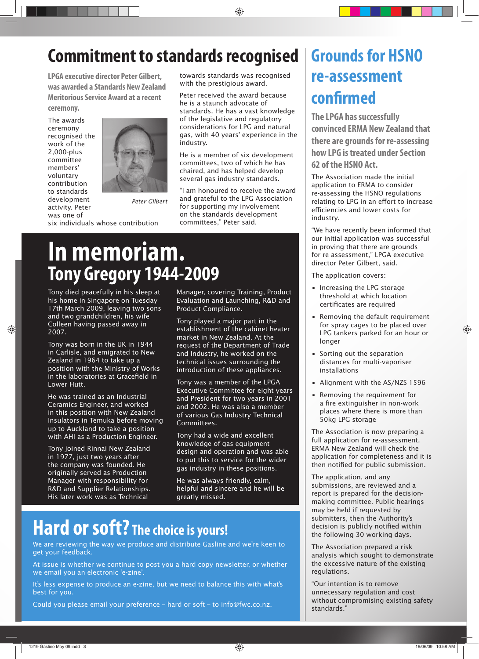#### **Commitment to standards recognised**

**LPGA executive director Peter Gilbert, was awarded a Standards New Zealand Meritorious Service Award at a recent ceremony.** 

The awards ceremony recognised the work of the 2,000-plus committee members' voluntary contribution to standards development activity. Peter was one of



*Peter Gilbert*

six individuals whose contribution

towards standards was recognised with the prestigious award.

Peter received the award because he is a staunch advocate of standards. He has a vast knowledge of the legislative and regulatory considerations for LPG and natural gas, with 40 years' experience in the industry.

He is a member of six development committees, two of which he has chaired, and has helped develop several gas industry standards.

"I am honoured to receive the award and grateful to the LPG Association for supporting my involvement on the standards development committees," Peter said.

### **In memoriam. Tony Gregory 1944-2009**

Tony died peacefully in his sleep at his home in Singapore on Tuesday 17th March 2009, leaving two sons and two grandchildren, his wife Colleen having passed away in 2007.

Tony was born in the UK in 1944 in Carlisle, and emigrated to New Zealand in 1964 to take up a position with the Ministry of Works in the laboratories at Gracefield in Lower Hutt.

He was trained as an Industrial Ceramics Engineer, and worked in this position with New Zealand Insulators in Temuka before moving up to Auckland to take a position with AHI as a Production Engineer.

Tony joined Rinnai New Zealand in 1977, just two years after the company was founded. He originally served as Production Manager with responsibility for R&D and Supplier Relationships. His later work was as Technical

Manager, covering Training, Product Evaluation and Launching, R&D and Product Compliance.

Tony played a major part in the establishment of the cabinet heater market in New Zealand. At the request of the Department of Trade and Industry, he worked on the technical issues surrounding the introduction of these appliances.

Tony was a member of the LPGA Executive Committee for eight years and President for two years in 2001 and 2002. He was also a member of various Gas Industry Technical Committees.

Tony had a wide and excellent knowledge of gas equipment design and operation and was able to put this to service for the wider gas industry in these positions.

He was always friendly, calm, helpful and sincere and he will be greatly missed.

### **Hard or soft? The choice is yours!**

We are reviewing the way we produce and distribute Gasline and we're keen to get your feedback.

At issue is whether we continue to post you a hard copy newsletter, or whether we email you an electronic 'e-zine'.

It's less expense to produce an e-zine, but we need to balance this with what's best for you.

Could you please email your preference – hard or soft – to info@fwc.co.nz.

### **Grounds for HSNO re-assessment confirmed**

**The LPGA has successfully convinced ERMA New Zealand that there are grounds for re-assessing how LPG is treated under Section 62 of the HSNO Act.** 

The Association made the initial application to ERMA to consider re-assessing the HSNO regulations relating to LPG in an effort to increase efficiencies and lower costs for industry.

"We have recently been informed that our initial application was successful in proving that there are grounds for re-assessment," LPGA executive director Peter Gilbert, said.

The application covers:

- Increasing the LPG storage threshold at which location certificates are required
- Removing the default requirement for spray cages to be placed over LPG tankers parked for an hour or longer
- Sorting out the separation distances for multi-vaporiser installations
- Alignment with the AS/NZS 1596
- Removing the requirement for a fire extinguisher in non-work places where there is more than 50kg LPG storage

The Association is now preparing a full application for re-assessment. ERMA New Zealand will check the application for completeness and it is then notified for public submission.

The application, and any submissions, are reviewed and a report is prepared for the decisionmaking committee. Public hearings may be held if requested by submitters, then the Authority's decision is publicly notified within the following 30 working days.

The Association prepared a risk analysis which sought to demonstrate the excessive nature of the existing regulations.

"Our intention is to remove unnecessary regulation and cost without compromising existing safety standards."